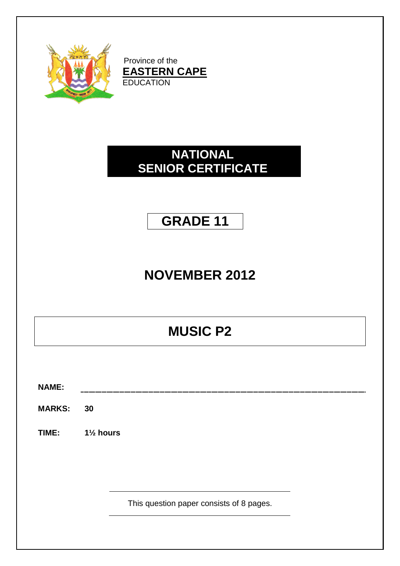

Province of the **EASTERN CAPE EDUCATION** 

### **NATIONAL SENIOR CERTIFICATE**

### **GRADE 11**

# **NOVEMBER 2012**

## **MUSIC P2**

**NAME:**

**MARKS: 30**

**TIME: 1½ hours**

This question paper consists of 8 pages.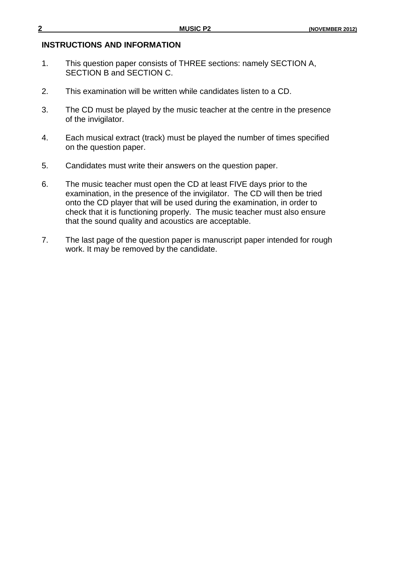#### **INSTRUCTIONS AND INFORMATION**

- 1. This question paper consists of THREE sections: namely SECTION A, SECTION B and SECTION C.
- 2. This examination will be written while candidates listen to a CD.
- 3. The CD must be played by the music teacher at the centre in the presence of the invigilator.
- 4. Each musical extract (track) must be played the number of times specified on the question paper.
- 5. Candidates must write their answers on the question paper.
- 6. The music teacher must open the CD at least FIVE days prior to the examination, in the presence of the invigilator. The CD will then be tried onto the CD player that will be used during the examination, in order to check that it is functioning properly. The music teacher must also ensure that the sound quality and acoustics are acceptable.
- 7. The last page of the question paper is manuscript paper intended for rough work. It may be removed by the candidate.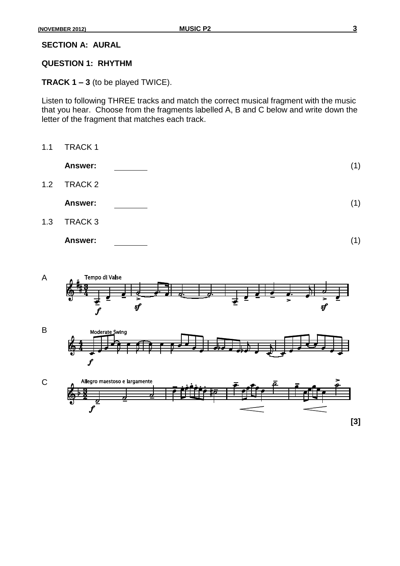**SECTION A: AURAL**

#### **QUESTION 1: RHYTHM**

**TRACK 1 – 3** (to be played TWICE).

Listen to following THREE tracks and match the correct musical fragment with the music that you hear. Choose from the fragments labelled A, B and C below and write down the letter of the fragment that matches each track.







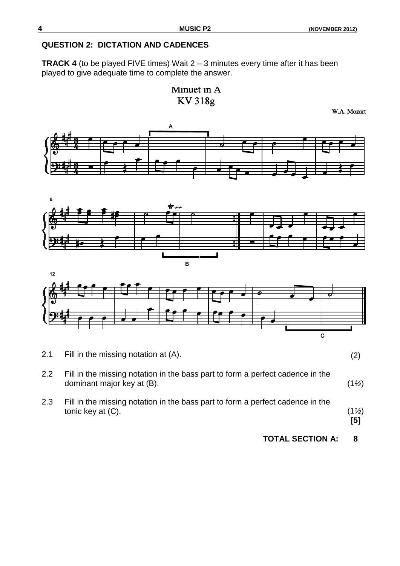#### **QUESTION 2: DICTATION AND CADENCES**

**TRACK 4** (to be played FIVE times) Wait 2 – 3 minutes every time after it has been played to give adequate time to complete the answer.

Minuet in A **KV318g** 

W.A. Mozart







2.1 Fill in the missing notation at (A). (2)

2.2 Fill in the missing notation in the bass part to form a perfect cadence in the dominant major key at (B). (1*½*)

2.3 Fill in the missing notation in the bass part to form a perfect cadence in the tonic key at  $(C)$ . (1<sup>*½*</sup>)

**[5]**

**TOTAL SECTION A: 8**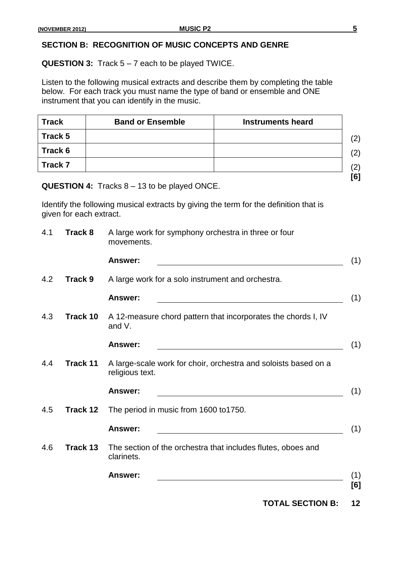### **SECTION B: RECOGNITION OF MUSIC CONCEPTS AND GENRE**

**QUESTION 3:** Track 5 – 7 each to be played TWICE.

Listen to the following musical extracts and describe them by completing the table below. For each track you must name the type of band or ensemble and ONE instrument that you can identify in the music.

| <b>Track</b> | <b>Band or Ensemble</b> | <b>Instruments heard</b> |
|--------------|-------------------------|--------------------------|
| Track 5      |                         |                          |
| Track 6      |                         |                          |
| Track 7      |                         |                          |
|              |                         |                          |

**QUESTION 4:** Tracks 8 – 13 to be played ONCE.

Identify the following musical extracts by giving the term for the definition that is given for each extract.

| 4.1 | <b>Track 8</b> | A large work for symphony orchestra in three or four<br>movements.                 |
|-----|----------------|------------------------------------------------------------------------------------|
|     |                | <b>Answer:</b><br>(1)                                                              |
| 4.2 | <b>Track 9</b> | A large work for a solo instrument and orchestra.                                  |
|     |                | <b>Answer:</b><br>(1)                                                              |
| 4.3 | Track 10       | A 12-measure chord pattern that incorporates the chords I, IV<br>and V.            |
|     |                | <b>Answer:</b><br>(1)                                                              |
| 4.4 | Track 11       | A large-scale work for choir, orchestra and soloists based on a<br>religious text. |
|     |                | (1)<br><b>Answer:</b>                                                              |
| 4.5 | Track 12       | The period in music from 1600 to 1750.                                             |
|     |                | (1)<br><b>Answer:</b>                                                              |
| 4.6 | Track 13       | The section of the orchestra that includes flutes, oboes and<br>clarinets.         |
|     |                | Answer:<br>(1)                                                                     |
|     |                | [6]                                                                                |

**TOTAL SECTION B: 12**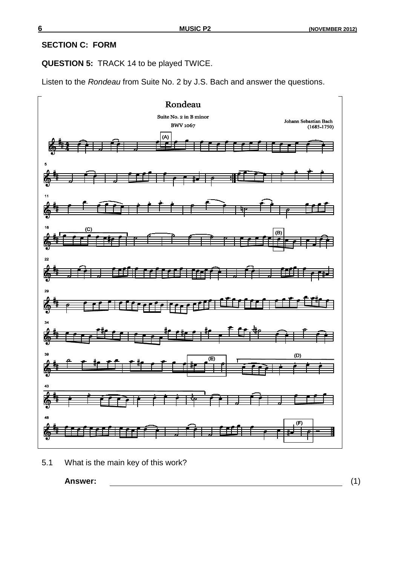#### **SECTION C: FORM**

**QUESTION 5:** TRACK 14 to be played TWICE.

Listen to the *Rondeau* from Suite No. 2 by J.S. Bach and answer the questions.



<sup>5.1</sup> What is the main key of this work?

**Answer:** (1)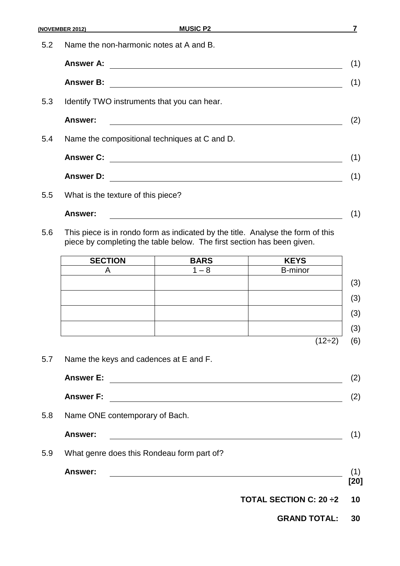|            | (NOVEMBER 2012)                                                                                                                                           | <b>MUSIC P2</b>                                                                                                        |              |  |  |
|------------|-----------------------------------------------------------------------------------------------------------------------------------------------------------|------------------------------------------------------------------------------------------------------------------------|--------------|--|--|
| 5.2        | Name the non-harmonic notes at A and B.                                                                                                                   |                                                                                                                        |              |  |  |
|            | <b>Answer A:</b>                                                                                                                                          |                                                                                                                        |              |  |  |
|            | <b>Answer B:</b>                                                                                                                                          | <u> 1980 - Andrea Barbara, poeta esperanto-poeta esperanto-poeta esperanto-poeta esperanto-poeta esperanto-poeta</u>   |              |  |  |
| 5.3        | Identify TWO instruments that you can hear.                                                                                                               |                                                                                                                        |              |  |  |
|            | Answer:                                                                                                                                                   |                                                                                                                        |              |  |  |
| 5.4        | Name the compositional techniques at C and D.                                                                                                             |                                                                                                                        |              |  |  |
|            | <b>Answer C:</b>                                                                                                                                          |                                                                                                                        |              |  |  |
|            | <b>Answer D:</b>                                                                                                                                          | <u> 1989 - Johann Stoff, deutscher Stoffen und der Stoffen und der Stoffen und der Stoffen und der Stoffen und der</u> |              |  |  |
| 5.5        | What is the texture of this piece?                                                                                                                        |                                                                                                                        |              |  |  |
|            | <b>Answer:</b>                                                                                                                                            |                                                                                                                        |              |  |  |
| 5.6        | This piece is in rondo form as indicated by the title. Analyse the form of this<br>piece by completing the table below. The first section has been given. |                                                                                                                        |              |  |  |
|            |                                                                                                                                                           |                                                                                                                        |              |  |  |
|            | <b>SECTION</b>                                                                                                                                            | <b>BARS</b>                                                                                                            | <b>KEYS</b>  |  |  |
|            | A                                                                                                                                                         | $1 - 8$                                                                                                                | B-minor      |  |  |
|            |                                                                                                                                                           |                                                                                                                        |              |  |  |
|            |                                                                                                                                                           |                                                                                                                        |              |  |  |
|            |                                                                                                                                                           |                                                                                                                        |              |  |  |
|            |                                                                                                                                                           | the contract of the contract of the contract of the contract of the contract of                                        | $(12\div 2)$ |  |  |
| 5.7        | Name the keys and cadences at E and F.                                                                                                                    |                                                                                                                        |              |  |  |
|            | <b>Answer E:</b>                                                                                                                                          | <u> 1989 - Johann Stoff, fransk politik (d. 1989)</u>                                                                  |              |  |  |
|            | <b>Answer F:</b>                                                                                                                                          | <u> 1980 - Johann Stoff, deutscher Stoffen und der Stoffen und der Stoffen und der Stoffen und der Stoffen und de</u>  |              |  |  |
|            | Name ONE contemporary of Bach.                                                                                                                            |                                                                                                                        |              |  |  |
|            | <b>Answer:</b>                                                                                                                                            |                                                                                                                        |              |  |  |
| 5.8<br>5.9 | What genre does this Rondeau form part of?                                                                                                                |                                                                                                                        |              |  |  |

**GRAND TOTAL: 30**